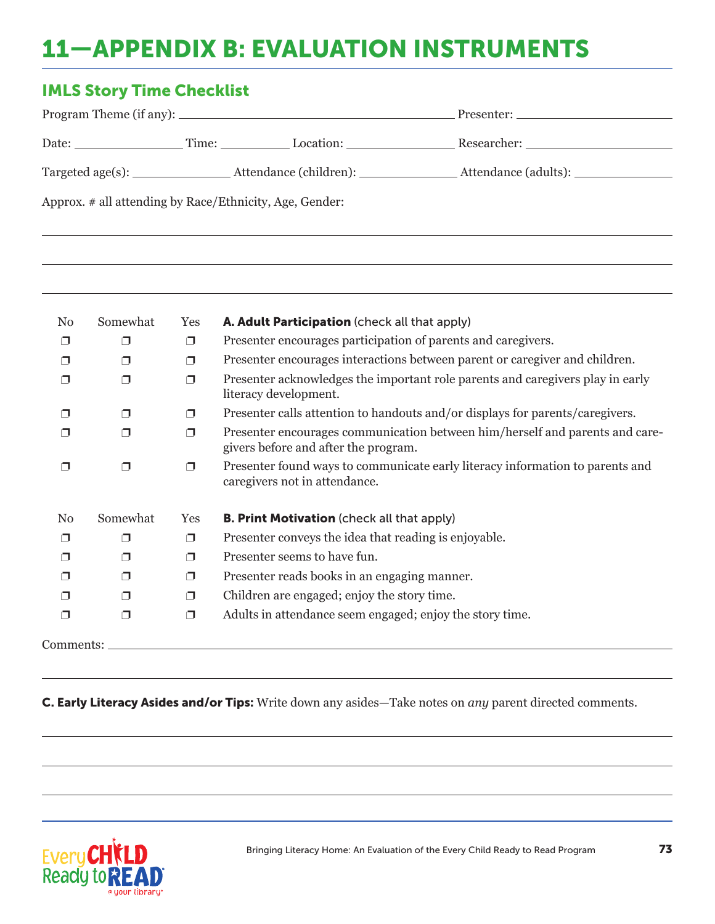## 11—APPENDIX B: EVALUATION INSTRUMENTS

## IMLS Story Time Checklist

|                                                         |  |  | Presenter:                                                                                                      |  |  |
|---------------------------------------------------------|--|--|-----------------------------------------------------------------------------------------------------------------|--|--|
|                                                         |  |  | Researcher: when the contract of the contract of the contract of the contract of the contract of the contract o |  |  |
|                                                         |  |  | _Attendance (adults): _______________                                                                           |  |  |
| Approx. # all attending by Race/Ethnicity, Age, Gender: |  |  |                                                                                                                 |  |  |

| N <sub>0</sub> | Somewhat | Yes    | A. Adult Participation (check all that apply)                                                                        |
|----------------|----------|--------|----------------------------------------------------------------------------------------------------------------------|
| ⊓              |          | Π      | Presenter encourages participation of parents and caregivers.                                                        |
| ⊓              | П        | ⊓      | Presenter encourages interactions between parent or caregiver and children.                                          |
| ⊓              | ⊓        | ⊓      | Presenter acknowledges the important role parents and caregivers play in early<br>literacy development.              |
|                | ⊓        | ⊓      | Presenter calls attention to handouts and/or displays for parents/caregivers.                                        |
| ◠              | ⊓        | ⊓      | Presenter encourages communication between him/herself and parents and care-<br>givers before and after the program. |
| ⊓              | ⊓        | Π      | Presenter found ways to communicate early literacy information to parents and<br>caregivers not in attendance.       |
| N <sub>0</sub> | Somewhat | Yes    | <b>B. Print Motivation</b> (check all that apply)                                                                    |
| ⊓              | ⊓        | $\Box$ | Presenter conveys the idea that reading is enjoyable.                                                                |
| ⊓              | ⊓        | Π      | Presenter seems to have fun.                                                                                         |
| ⊓              | п        | Π      | Presenter reads books in an engaging manner.                                                                         |
|                | ⊓        | ⊓      | Children are engaged; enjoy the story time.                                                                          |
| ⊓              | $\Box$   | Π      | Adults in attendance seem engaged; enjoy the story time.                                                             |
| Comments:      |          |        |                                                                                                                      |

## C. Early Literacy Asides and/or Tips: Write down any asides—Take notes on *any* parent directed comments.